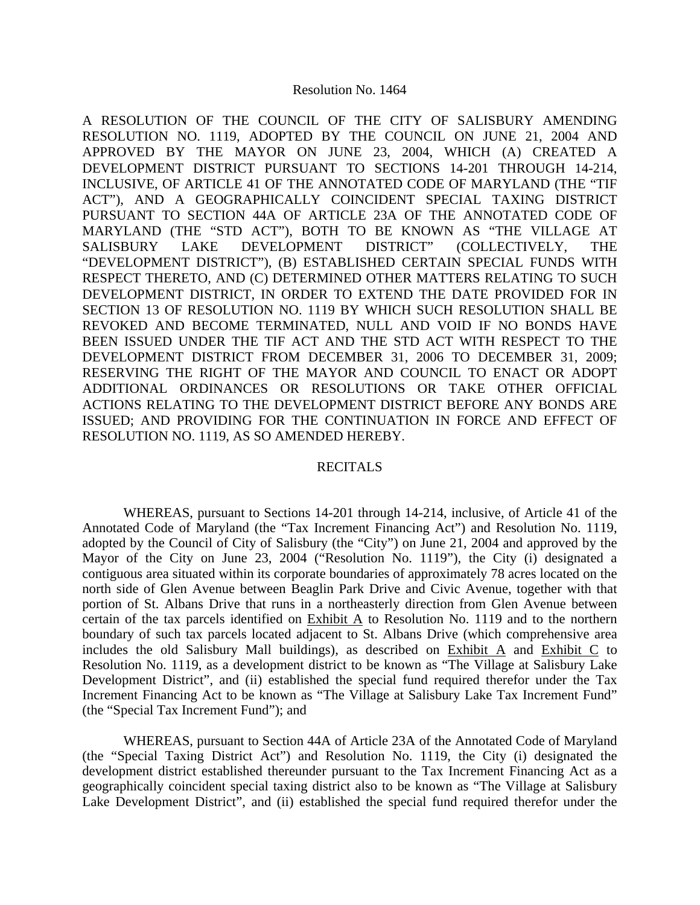## Resolution No. 1464

A RESOLUTION OF THE COUNCIL OF THE CITY OF SALISBURY AMENDING RESOLUTION NO. 1119, ADOPTED BY THE COUNCIL ON JUNE 21, 2004 AND APPROVED BY THE MAYOR ON JUNE 23, 2004, WHICH (A) CREATED A DEVELOPMENT DISTRICT PURSUANT TO SECTIONS 14-201 THROUGH 14-214, INCLUSIVE, OF ARTICLE 41 OF THE ANNOTATED CODE OF MARYLAND (THE "TIF ACT"), AND A GEOGRAPHICALLY COINCIDENT SPECIAL TAXING DISTRICT PURSUANT TO SECTION 44A OF ARTICLE 23A OF THE ANNOTATED CODE OF MARYLAND (THE "STD ACT"), BOTH TO BE KNOWN AS "THE VILLAGE AT SALISBURY LAKE DEVELOPMENT DISTRICT" (COLLECTIVELY, THE "DEVELOPMENT DISTRICT"), (B) ESTABLISHED CERTAIN SPECIAL FUNDS WITH RESPECT THERETO, AND (C) DETERMINED OTHER MATTERS RELATING TO SUCH DEVELOPMENT DISTRICT, IN ORDER TO EXTEND THE DATE PROVIDED FOR IN SECTION 13 OF RESOLUTION NO. 1119 BY WHICH SUCH RESOLUTION SHALL BE REVOKED AND BECOME TERMINATED, NULL AND VOID IF NO BONDS HAVE BEEN ISSUED UNDER THE TIF ACT AND THE STD ACT WITH RESPECT TO THE DEVELOPMENT DISTRICT FROM DECEMBER 31, 2006 TO DECEMBER 31, 2009; RESERVING THE RIGHT OF THE MAYOR AND COUNCIL TO ENACT OR ADOPT ADDITIONAL ORDINANCES OR RESOLUTIONS OR TAKE OTHER OFFICIAL ACTIONS RELATING TO THE DEVELOPMENT DISTRICT BEFORE ANY BONDS ARE ISSUED; AND PROVIDING FOR THE CONTINUATION IN FORCE AND EFFECT OF RESOLUTION NO. 1119, AS SO AMENDED HEREBY.

## RECITALS

 WHEREAS, pursuant to Sections 14-201 through 14-214, inclusive, of Article 41 of the Annotated Code of Maryland (the "Tax Increment Financing Act") and Resolution No. 1119, adopted by the Council of City of Salisbury (the "City") on June 21, 2004 and approved by the Mayor of the City on June 23, 2004 ("Resolution No. 1119"), the City (i) designated a contiguous area situated within its corporate boundaries of approximately 78 acres located on the north side of Glen Avenue between Beaglin Park Drive and Civic Avenue, together with that portion of St. Albans Drive that runs in a northeasterly direction from Glen Avenue between certain of the tax parcels identified on Exhibit A to Resolution No. 1119 and to the northern boundary of such tax parcels located adjacent to St. Albans Drive (which comprehensive area includes the old Salisbury Mall buildings), as described on Exhibit A and Exhibit C to Resolution No. 1119, as a development district to be known as "The Village at Salisbury Lake Development District", and (ii) established the special fund required therefor under the Tax Increment Financing Act to be known as "The Village at Salisbury Lake Tax Increment Fund" (the "Special Tax Increment Fund"); and

 WHEREAS, pursuant to Section 44A of Article 23A of the Annotated Code of Maryland (the "Special Taxing District Act") and Resolution No. 1119, the City (i) designated the development district established thereunder pursuant to the Tax Increment Financing Act as a geographically coincident special taxing district also to be known as "The Village at Salisbury Lake Development District", and (ii) established the special fund required therefor under the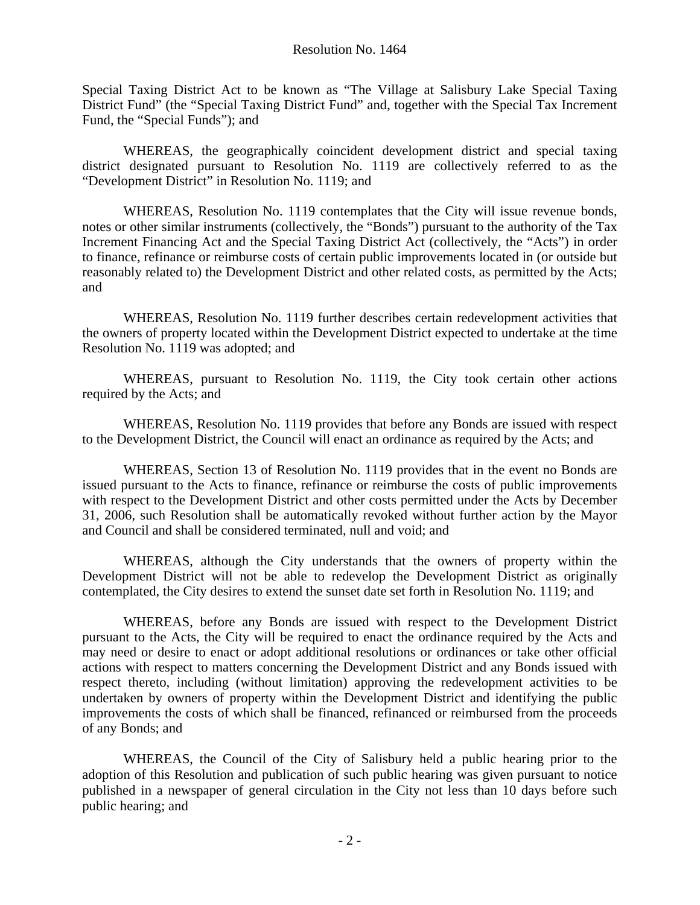Special Taxing District Act to be known as "The Village at Salisbury Lake Special Taxing District Fund" (the "Special Taxing District Fund" and, together with the Special Tax Increment Fund, the "Special Funds"); and

 WHEREAS, the geographically coincident development district and special taxing district designated pursuant to Resolution No. 1119 are collectively referred to as the "Development District" in Resolution No. 1119; and

 WHEREAS, Resolution No. 1119 contemplates that the City will issue revenue bonds, notes or other similar instruments (collectively, the "Bonds") pursuant to the authority of the Tax Increment Financing Act and the Special Taxing District Act (collectively, the "Acts") in order to finance, refinance or reimburse costs of certain public improvements located in (or outside but reasonably related to) the Development District and other related costs, as permitted by the Acts; and

 WHEREAS, Resolution No. 1119 further describes certain redevelopment activities that the owners of property located within the Development District expected to undertake at the time Resolution No. 1119 was adopted; and

 WHEREAS, pursuant to Resolution No. 1119, the City took certain other actions required by the Acts; and

 WHEREAS, Resolution No. 1119 provides that before any Bonds are issued with respect to the Development District, the Council will enact an ordinance as required by the Acts; and

 WHEREAS, Section 13 of Resolution No. 1119 provides that in the event no Bonds are issued pursuant to the Acts to finance, refinance or reimburse the costs of public improvements with respect to the Development District and other costs permitted under the Acts by December 31, 2006, such Resolution shall be automatically revoked without further action by the Mayor and Council and shall be considered terminated, null and void; and

 WHEREAS, although the City understands that the owners of property within the Development District will not be able to redevelop the Development District as originally contemplated, the City desires to extend the sunset date set forth in Resolution No. 1119; and

 WHEREAS, before any Bonds are issued with respect to the Development District pursuant to the Acts, the City will be required to enact the ordinance required by the Acts and may need or desire to enact or adopt additional resolutions or ordinances or take other official actions with respect to matters concerning the Development District and any Bonds issued with respect thereto, including (without limitation) approving the redevelopment activities to be undertaken by owners of property within the Development District and identifying the public improvements the costs of which shall be financed, refinanced or reimbursed from the proceeds of any Bonds; and

 WHEREAS, the Council of the City of Salisbury held a public hearing prior to the adoption of this Resolution and publication of such public hearing was given pursuant to notice published in a newspaper of general circulation in the City not less than 10 days before such public hearing; and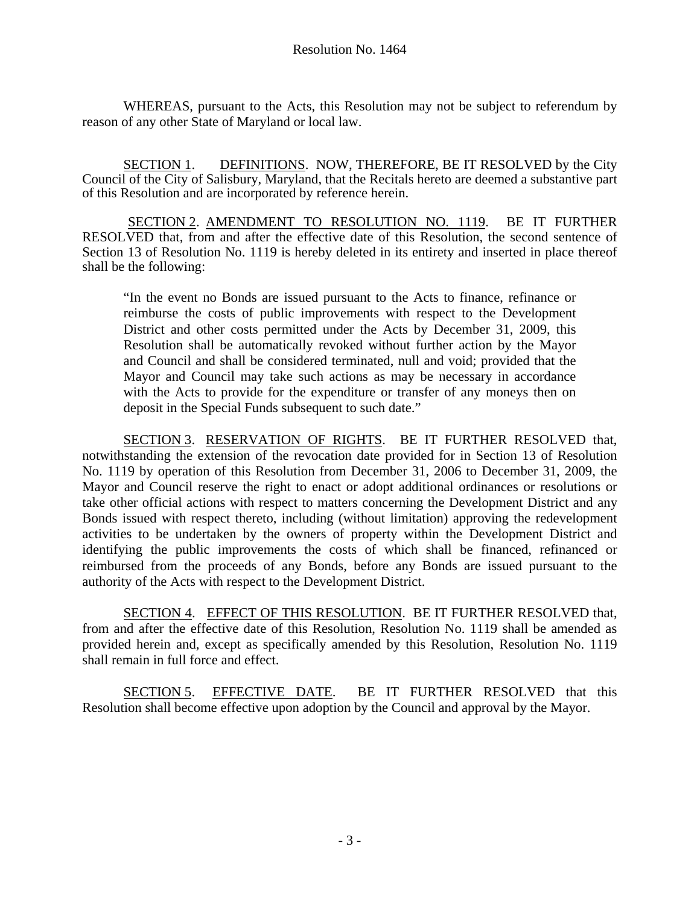WHEREAS, pursuant to the Acts, this Resolution may not be subject to referendum by reason of any other State of Maryland or local law.

SECTION 1. DEFINITIONS. NOW, THEREFORE, BE IT RESOLVED by the City Council of the City of Salisbury, Maryland, that the Recitals hereto are deemed a substantive part of this Resolution and are incorporated by reference herein.

SECTION 2. AMENDMENT TO RESOLUTION NO. 1119. BE IT FURTHER RESOLVED that, from and after the effective date of this Resolution, the second sentence of Section 13 of Resolution No. 1119 is hereby deleted in its entirety and inserted in place thereof shall be the following:

"In the event no Bonds are issued pursuant to the Acts to finance, refinance or reimburse the costs of public improvements with respect to the Development District and other costs permitted under the Acts by December 31, 2009, this Resolution shall be automatically revoked without further action by the Mayor and Council and shall be considered terminated, null and void; provided that the Mayor and Council may take such actions as may be necessary in accordance with the Acts to provide for the expenditure or transfer of any moneys then on deposit in the Special Funds subsequent to such date."

SECTION 3. RESERVATION OF RIGHTS. BE IT FURTHER RESOLVED that, notwithstanding the extension of the revocation date provided for in Section 13 of Resolution No. 1119 by operation of this Resolution from December 31, 2006 to December 31, 2009, the Mayor and Council reserve the right to enact or adopt additional ordinances or resolutions or take other official actions with respect to matters concerning the Development District and any Bonds issued with respect thereto, including (without limitation) approving the redevelopment activities to be undertaken by the owners of property within the Development District and identifying the public improvements the costs of which shall be financed, refinanced or reimbursed from the proceeds of any Bonds, before any Bonds are issued pursuant to the authority of the Acts with respect to the Development District.

SECTION 4. EFFECT OF THIS RESOLUTION. BE IT FURTHER RESOLVED that, from and after the effective date of this Resolution, Resolution No. 1119 shall be amended as provided herein and, except as specifically amended by this Resolution, Resolution No. 1119 shall remain in full force and effect.

SECTION 5. EFFECTIVE DATE. BE IT FURTHER RESOLVED that this Resolution shall become effective upon adoption by the Council and approval by the Mayor.